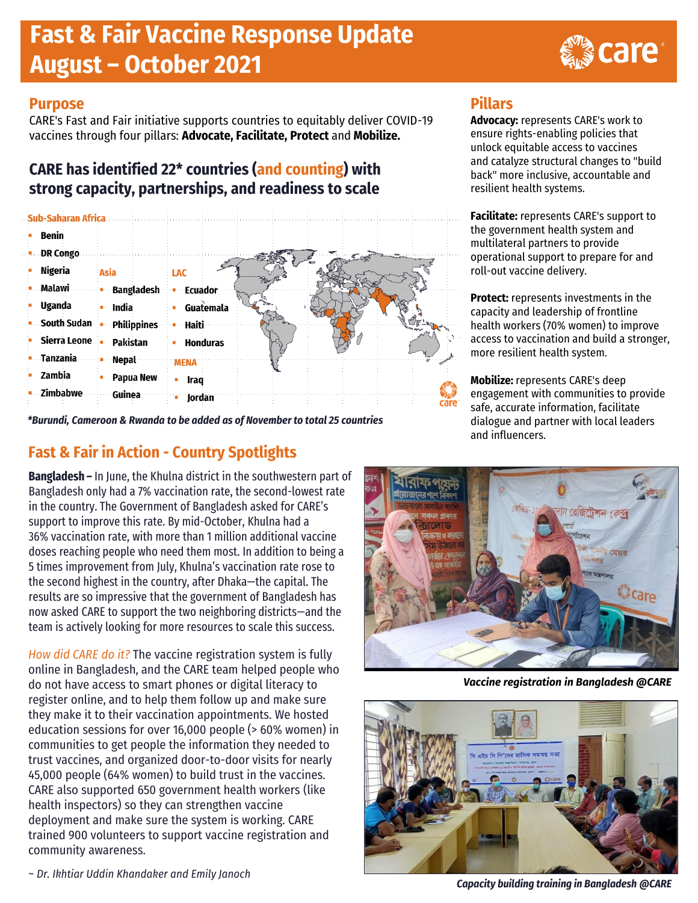# **Fast & Fair Vaccine Response Update August – October 2021**

#### **Purpose**

CARE's Fast and Fair initiative supports countries to equitably deliver COVID-19 vaccines through four pillars: **Advocate, Facilitate, Protect** and **Mobilize.**

### **CARE has identified 22\* countries (and counting) with strong capacity, partnerships, and readiness to scale**



*\*Burundi, Cameroon & Rwanda to be added as of November to total 25 countries*

### **Fast & Fair in Action - Country Spotlights**

**Bangladesh –** In June, the Khulna district in the southwestern part of Bangladesh only had a 7% vaccination rate, the second-lowest rate in the country. The Government of Bangladesh asked for CARE's support to improve this rate. By mid-October, Khulna had a 36% vaccination rate, with more than 1 million additional vaccine doses reaching people who need them most. In addition to being a 5 times improvement from July, Khulna's vaccination rate rose to the second highest in the country, after Dhaka—the capital. The results are so impressive that the government of Bangladesh has now asked CARE to support the two neighboring districts—and the team is actively looking for more resources to scale this success.

*How did CARE do it?* The vaccine registration system is fully online in Bangladesh, and the CARE team helped people who do not have access to smart phones or digital literacy to register online, and to help them follow up and make sure they make it to their vaccination appointments. We hosted education sessions for over 16,000 people (> 60% women) in communities to get people the information they needed to trust vaccines, and organized door-to-door visits for nearly 45,000 people (64% women) to build trust in the vaccines. CARE also supported 650 government health workers (like health inspectors) so they can strengthen vaccine deployment and make sure the system is working. CARE trained 900 volunteers to support vaccine registration and community awareness.

*~ Dr. Ikhtiar Uddin Khandaker and Emily Janoch*

#### **Pillars**

**Advocacy:** represents CARE's work to ensure rights-enabling policies that unlock equitable access to vaccines and catalyze structural changes to "build back" more inclusive, accountable and resilient health systems.

**Facilitate:** represents CARE's support to the government health system and multilateral partners to provide operational support to prepare for and roll-out vaccine delivery.

**Protect:** represents investments in the capacity and leadership of frontline health workers (70% women) to improve access to vaccination and build a stronger, more resilient health system.

**Mobilize:** represents CARE's deep engagement with communities to provide safe, accurate information, facilitate dialogue and partner with local leaders and influencers.



*Vaccine registration in Bangladesh @CARE*



*Capacity building training in Bangladesh @CARE*